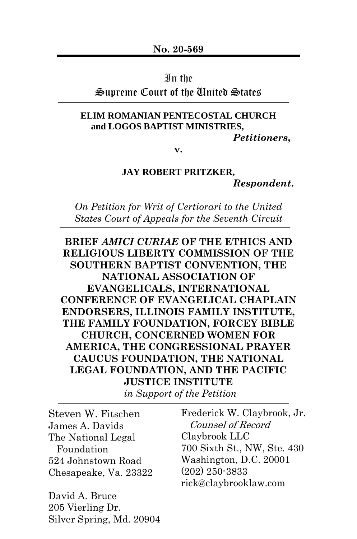### In the

## Supreme Court of the United States

#### **ELIM ROMANIAN PENTECOSTAL CHURCH and LOGOS BAPTIST MINISTRIES,**

*Petitioners***,**

**v.**

#### **JAY ROBERT PRITZKER,**

*Respondent***.**

*On Petition for Writ of Certiorari to the United States Court of Appeals for the Seventh Circuit*

**BRIEF** *AMICI CURIAE* **OF THE ETHICS AND RELIGIOUS LIBERTY COMMISSION OF THE SOUTHERN BAPTIST CONVENTION, THE NATIONAL ASSOCIATION OF EVANGELICALS, INTERNATIONAL CONFERENCE OF EVANGELICAL CHAPLAIN ENDORSERS, ILLINOIS FAMILY INSTITUTE, THE FAMILY FOUNDATION, FORCEY BIBLE CHURCH, CONCERNED WOMEN FOR AMERICA, THE CONGRESSIONAL PRAYER CAUCUS FOUNDATION, THE NATIONAL LEGAL FOUNDATION, AND THE PACIFIC JUSTICE INSTITUTE**

*in Support of the Petition*

Steven W. Fitschen James A. Davids The National Legal Foundation 524 Johnstown Road Chesapeake, Va. 23322

David A. Bruce 205 Vierling Dr. Silver Spring, Md. 20904 Frederick W. Claybrook, Jr. Counsel of Record Claybrook LLC 700 Sixth St., NW, Ste. 430 Washington, D.C. 20001 (202) 250-3833 rick@claybrooklaw.com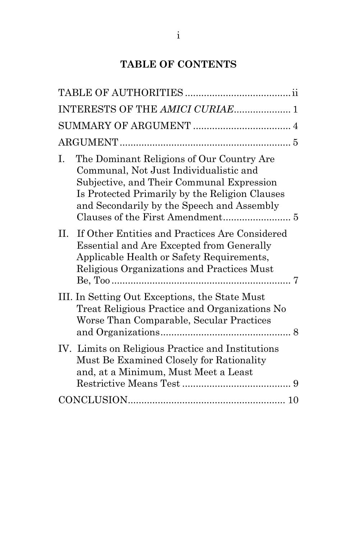# **TABLE OF CONTENTS**

| INTERESTS OF THE AMICI CURIAE 1                                                                                                                                                                                                                                            |  |
|----------------------------------------------------------------------------------------------------------------------------------------------------------------------------------------------------------------------------------------------------------------------------|--|
|                                                                                                                                                                                                                                                                            |  |
|                                                                                                                                                                                                                                                                            |  |
| The Dominant Religions of Our Country Are<br>Ι.<br>Communal, Not Just Individualistic and<br>Subjective, and Their Communal Expression<br>Is Protected Primarily by the Religion Clauses<br>and Secondarily by the Speech and Assembly<br>Clauses of the First Amendment 5 |  |
| If Other Entities and Practices Are Considered<br>П.<br><b>Essential and Are Excepted from Generally</b><br>Applicable Health or Safety Requirements,<br>Religious Organizations and Practices Must                                                                        |  |
| III. In Setting Out Exceptions, the State Must<br>Treat Religious Practice and Organizations No<br>Worse Than Comparable, Secular Practices                                                                                                                                |  |
| IV. Limits on Religious Practice and Institutions<br>Must Be Examined Closely for Rationality<br>and, at a Minimum, Must Meet a Least                                                                                                                                      |  |
|                                                                                                                                                                                                                                                                            |  |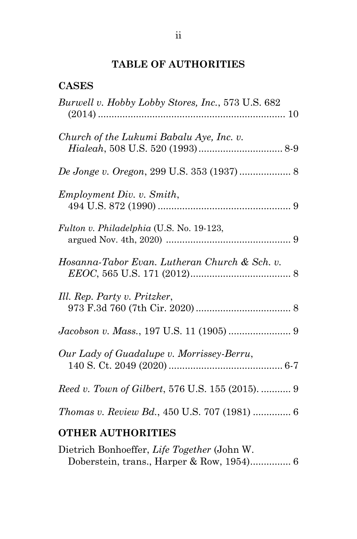# **TABLE OF AUTHORITIES**

| <b>CASES</b>                                      |
|---------------------------------------------------|
| Burwell v. Hobby Lobby Stores, Inc., 573 U.S. 682 |
| Church of the Lukumi Babalu Aye, Inc. v.          |
|                                                   |
| Employment Div. v. Smith,                         |
| Fulton v. Philadelphia (U.S. No. 19-123,          |
| Hosanna-Tabor Evan. Lutheran Church & Sch. v.     |
| Ill. Rep. Party v. Pritzker,                      |
|                                                   |
| Our Lady of Guadalupe v. Morrissey-Berru,         |
| Reed v. Town of Gilbert, 576 U.S. 155 (2015).  9  |
| Thomas v. Review Bd., 450 U.S. 707 (1981)  6      |
|                                                   |

# **OTHER AUTHORITIES**

| Dietrich Bonhoeffer, Life Together (John W. |  |  |
|---------------------------------------------|--|--|
|                                             |  |  |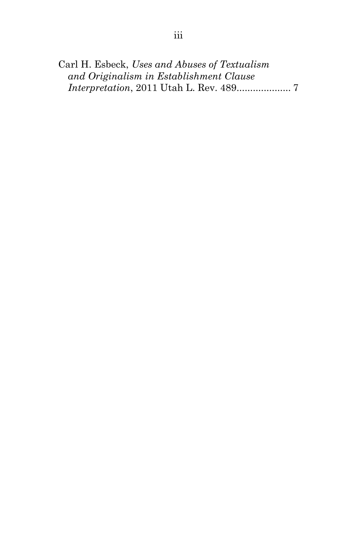Carl H. Esbeck, *Uses and Abuses of Textualism and Originalism in Establishment Clause Interpretation*, 2011 Utah L. Rev. 489.................... 7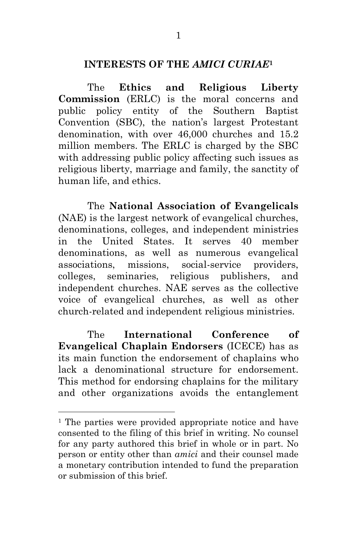## **INTERESTS OF THE** *AMICI CURIAE***<sup>1</sup>**

The **Ethics and Religious Liberty Commission** (ERLC) is the moral concerns and public policy entity of the Southern Baptist Convention (SBC), the nation's largest Protestant denomination, with over 46,000 churches and 15.2 million members. The ERLC is charged by the SBC with addressing public policy affecting such issues as religious liberty, marriage and family, the sanctity of human life, and ethics.

The **National Association of Evangelicals** (NAE) is the largest network of evangelical churches, denominations, colleges, and independent ministries in the United States. It serves 40 member denominations, as well as numerous evangelical associations, missions, social-service providers, colleges, seminaries, religious publishers, and independent churches. NAE serves as the collective voice of evangelical churches, as well as other church-related and independent religious ministries.

The **International Conference of Evangelical Chaplain Endorsers** (ICECE) has as its main function the endorsement of chaplains who lack a denominational structure for endorsement. This method for endorsing chaplains for the military and other organizations avoids the entanglement

 $\overline{a}$ 

<sup>&</sup>lt;sup>1</sup> The parties were provided appropriate notice and have consented to the filing of this brief in writing. No counsel for any party authored this brief in whole or in part. No person or entity other than *amici* and their counsel made a monetary contribution intended to fund the preparation or submission of this brief.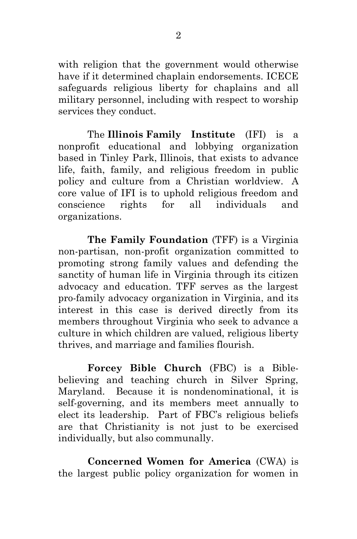with religion that the government would otherwise have if it determined chaplain endorsements. ICECE safeguards religious liberty for chaplains and all military personnel, including with respect to worship services they conduct.

The **Illinois Family Institute** (IFI) is a nonprofit educational and lobbying organization based in Tinley Park, Illinois, that exists to advance life, faith, family, and religious freedom in public policy and culture from a Christian worldview. A core value of IFI is to uphold religious freedom and conscience rights for all individuals and organizations.

**The Family Foundation** (TFF) is a Virginia non-partisan, non-profit organization committed to promoting strong family values and defending the sanctity of human life in Virginia through its citizen advocacy and education. TFF serves as the largest pro-family advocacy organization in Virginia, and its interest in this case is derived directly from its members throughout Virginia who seek to advance a culture in which children are valued, religious liberty thrives, and marriage and families flourish.

**Forcey Bible Church** (FBC) is a Biblebelieving and teaching church in Silver Spring, Maryland. Because it is nondenominational, it is self-governing, and its members meet annually to elect its leadership. Part of FBC's religious beliefs are that Christianity is not just to be exercised individually, but also communally.

**Concerned Women for America** (CWA) is the largest public policy organization for women in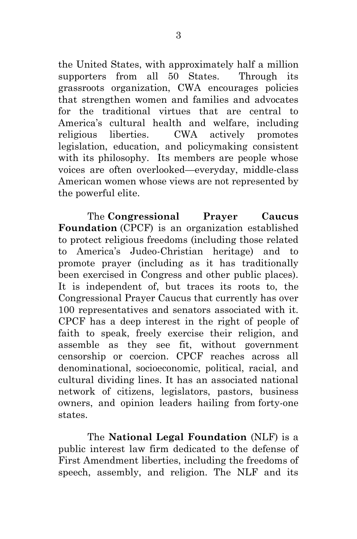the United States, with approximately half a million supporters from all 50 States. Through its grassroots organization, CWA encourages policies that strengthen women and families and advocates for the traditional virtues that are central to America's cultural health and welfare, including religious liberties. CWA actively promotes legislation, education, and policymaking consistent with its philosophy. Its members are people whose voices are often overlooked—everyday, middle-class American women whose views are not represented by the powerful elite.

The **Congressional Prayer Caucus Foundation** (CPCF) is an organization established to protect religious freedoms (including those related to America's Judeo-Christian heritage) and to promote prayer (including as it has traditionally been exercised in Congress and other public places). It is independent of, but traces its roots to, the Congressional Prayer Caucus that currently has over 100 representatives and senators associated with it. CPCF has a deep interest in the right of people of faith to speak, freely exercise their religion, and assemble as they see fit, without government censorship or coercion. CPCF reaches across all denominational, socioeconomic, political, racial, and cultural dividing lines. It has an associated national network of citizens, legislators, pastors, business owners, and opinion leaders hailing from forty-one states.

The **National Legal Foundation** (NLF) is a public interest law firm dedicated to the defense of First Amendment liberties, including the freedoms of speech, assembly, and religion. The NLF and its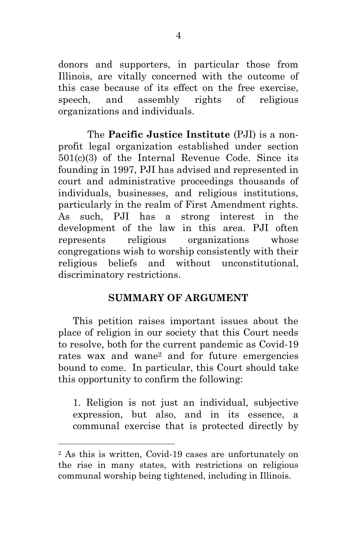donors and supporters, in particular those from Illinois, are vitally concerned with the outcome of this case because of its effect on the free exercise, speech, and assembly rights of religious organizations and individuals.

The **Pacific Justice Institute** (PJI) is a nonprofit legal organization established under section 501(c)(3) of the Internal Revenue Code. Since its founding in 1997, PJI has advised and represented in court and administrative proceedings thousands of individuals, businesses, and religious institutions, particularly in the realm of First Amendment rights. As such, PJI has a strong interest in the development of the law in this area. PJI often represents religious organizations whose congregations wish to worship consistently with their religious beliefs and without unconstitutional, discriminatory restrictions.

### **SUMMARY OF ARGUMENT**

This petition raises important issues about the place of religion in our society that this Court needs to resolve, both for the current pandemic as Covid-19 rates wax and wane<sup>2</sup> and for future emergencies bound to come. In particular, this Court should take this opportunity to confirm the following:

1. Religion is not just an individual, subjective expression, but also, and in its essence, a communal exercise that is protected directly by

 $\overline{a}$ 

<sup>2</sup> As this is written, Covid-19 cases are unfortunately on the rise in many states, with restrictions on religious communal worship being tightened, including in Illinois.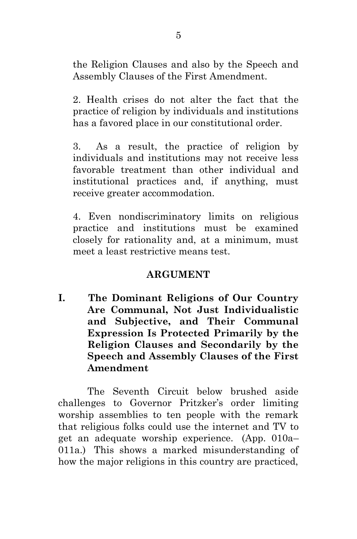the Religion Clauses and also by the Speech and Assembly Clauses of the First Amendment.

2. Health crises do not alter the fact that the practice of religion by individuals and institutions has a favored place in our constitutional order.

3. As a result, the practice of religion by individuals and institutions may not receive less favorable treatment than other individual and institutional practices and, if anything, must receive greater accommodation.

4. Even nondiscriminatory limits on religious practice and institutions must be examined closely for rationality and, at a minimum, must meet a least restrictive means test.

### **ARGUMENT**

**I. The Dominant Religions of Our Country Are Communal, Not Just Individualistic and Subjective, and Their Communal Expression Is Protected Primarily by the Religion Clauses and Secondarily by the Speech and Assembly Clauses of the First Amendment**

The Seventh Circuit below brushed aside challenges to Governor Pritzker's order limiting worship assemblies to ten people with the remark that religious folks could use the internet and TV to get an adequate worship experience. (App. 010a– 011a.) This shows a marked misunderstanding of how the major religions in this country are practiced,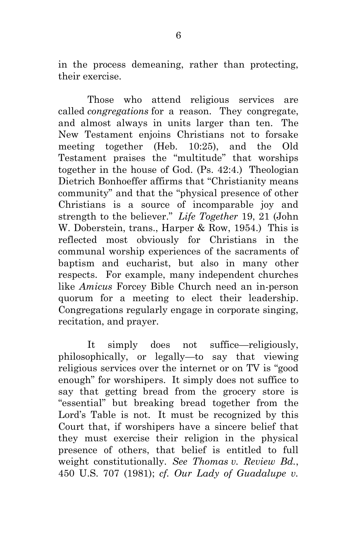in the process demeaning, rather than protecting, their exercise.

Those who attend religious services are called *congregations* for a reason. They congregate, and almost always in units larger than ten. The New Testament enjoins Christians not to forsake meeting together (Heb. 10:25), and the Old Testament praises the "multitude" that worships together in the house of God. (Ps. 42:4.) Theologian Dietrich Bonhoeffer affirms that "Christianity means community" and that the "physical presence of other Christians is a source of incomparable joy and strength to the believer." *Life Together* 19, 21 (John W. Doberstein, trans., Harper & Row, 1954.) This is reflected most obviously for Christians in the communal worship experiences of the sacraments of baptism and eucharist, but also in many other respects. For example, many independent churches like *Amicus* Forcey Bible Church need an in-person quorum for a meeting to elect their leadership. Congregations regularly engage in corporate singing, recitation, and prayer.

It simply does not suffice—religiously, philosophically, or legally—to say that viewing religious services over the internet or on TV is "good enough" for worshipers. It simply does not suffice to say that getting bread from the grocery store is "essential" but breaking bread together from the Lord's Table is not. It must be recognized by this Court that, if worshipers have a sincere belief that they must exercise their religion in the physical presence of others, that belief is entitled to full weight constitutionally. *See Thomas v. Review Bd.*, 450 U.S. 707 (1981); *cf. Our Lady of Guadalupe v.*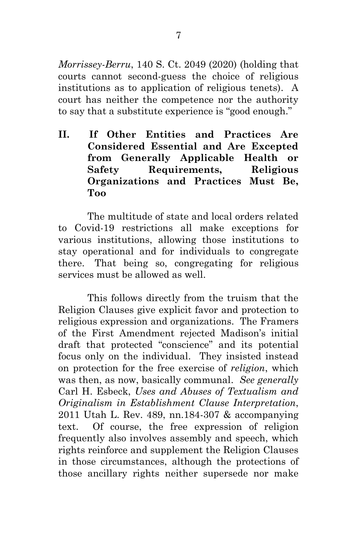*Morrissey-Berru*, 140 S. Ct. 2049 (2020) (holding that courts cannot second-guess the choice of religious institutions as to application of religious tenets). A court has neither the competence nor the authority to say that a substitute experience is "good enough."

**II. If Other Entities and Practices Are Considered Essential and Are Excepted from Generally Applicable Health or Safety Requirements, Religious Organizations and Practices Must Be, Too**

The multitude of state and local orders related to Covid-19 restrictions all make exceptions for various institutions, allowing those institutions to stay operational and for individuals to congregate there. That being so, congregating for religious services must be allowed as well.

This follows directly from the truism that the Religion Clauses give explicit favor and protection to religious expression and organizations. The Framers of the First Amendment rejected Madison's initial draft that protected "conscience" and its potential focus only on the individual. They insisted instead on protection for the free exercise of *religion*, which was then, as now, basically communal. *See generally* Carl H. Esbeck, *Uses and Abuses of Textualism and Originalism in Establishment Clause Interpretation*, 2011 Utah L. Rev. 489, nn.184-307 & accompanying text. Of course, the free expression of religion frequently also involves assembly and speech, which rights reinforce and supplement the Religion Clauses in those circumstances, although the protections of those ancillary rights neither supersede nor make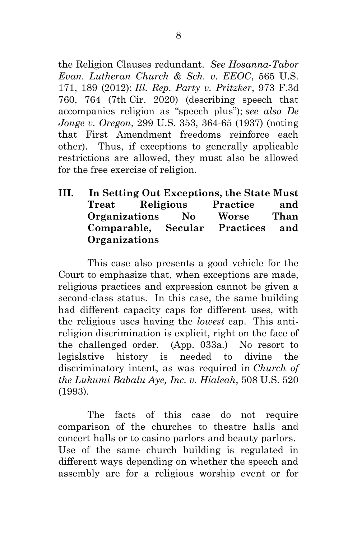the Religion Clauses redundant. *See Hosanna-Tabor Evan. Lutheran Church & Sch. v. EEOC*, 565 U.S. 171, 189 (2012); *Ill. Rep. Party v. Pritzker*, 973 F.3d 760, 764 (7th Cir. 2020) (describing speech that accompanies religion as "speech plus"); *see also De Jonge v. Oregon*, 299 U.S. 353, 364-65 (1937) (noting that First Amendment freedoms reinforce each other). Thus, if exceptions to generally applicable restrictions are allowed, they must also be allowed for the free exercise of religion.

**III. In Setting Out Exceptions, the State Must Treat Religious Practice and Organizations No Worse Than Comparable, Secular Practices and Organizations**

This case also presents a good vehicle for the Court to emphasize that, when exceptions are made, religious practices and expression cannot be given a second-class status. In this case, the same building had different capacity caps for different uses, with the religious uses having the *lowest* cap. This antireligion discrimination is explicit, right on the face of the challenged order. (App. 033a.) No resort to legislative history is needed to divine the discriminatory intent, as was required in *Church of the Lukumi Babalu Aye, Inc. v. Hialeah*, 508 U.S. 520 (1993).

The facts of this case do not require comparison of the churches to theatre halls and concert halls or to casino parlors and beauty parlors. Use of the same church building is regulated in different ways depending on whether the speech and assembly are for a religious worship event or for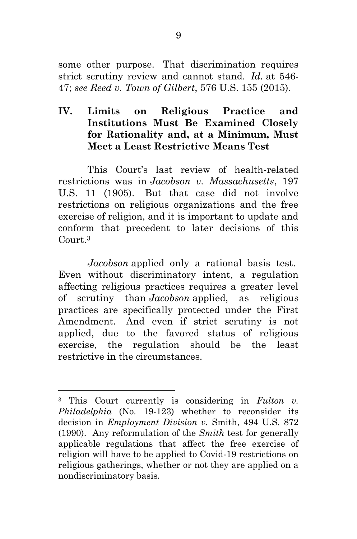some other purpose. That discrimination requires strict scrutiny review and cannot stand. *Id.* at 546- 47; *see Reed v. Town of Gilbert*, 576 U.S. 155 (2015).

### **IV. Limits on Religious Practice and Institutions Must Be Examined Closely for Rationality and, at a Minimum, Must Meet a Least Restrictive Means Test**

This Court's last review of health-related restrictions was in *Jacobson v. Massachusetts*, 197 U.S. 11 (1905). But that case did not involve restrictions on religious organizations and the free exercise of religion, and it is important to update and conform that precedent to later decisions of this Court.<sup>3</sup>

*Jacobson* applied only a rational basis test. Even without discriminatory intent, a regulation affecting religious practices requires a greater level of scrutiny than *Jacobson* applied, as religious practices are specifically protected under the First Amendment. And even if strict scrutiny is not applied, due to the favored status of religious exercise, the regulation should be the least restrictive in the circumstances.

 $\overline{a}$ 

<sup>3</sup> This Court currently is considering in *Fulton v. Philadelphia* (No. 19-123) whether to reconsider its decision in *Employment Division v.* Smith, 494 U.S. 872 (1990). Any reformulation of the *Smith* test for generally applicable regulations that affect the free exercise of religion will have to be applied to Covid-19 restrictions on religious gatherings, whether or not they are applied on a nondiscriminatory basis.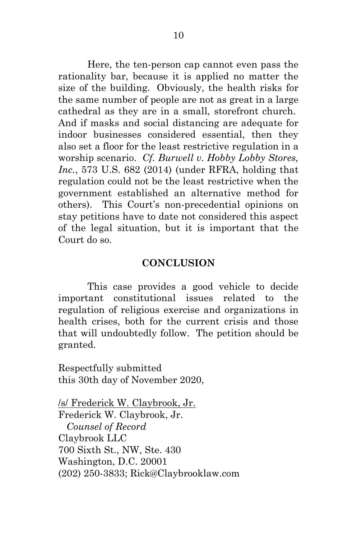Here, the ten-person cap cannot even pass the rationality bar, because it is applied no matter the size of the building. Obviously, the health risks for the same number of people are not as great in a large cathedral as they are in a small, storefront church. And if masks and social distancing are adequate for indoor businesses considered essential, then they also set a floor for the least restrictive regulation in a worship scenario. *Cf. Burwell v. Hobby Lobby Stores, Inc.*, 573 U.S. 682 (2014) (under RFRA, holding that regulation could not be the least restrictive when the government established an alternative method for others). This Court's non-precedential opinions on stay petitions have to date not considered this aspect of the legal situation, but it is important that the Court do so.

#### **CONCLUSION**

This case provides a good vehicle to decide important constitutional issues related to the regulation of religious exercise and organizations in health crises, both for the current crisis and those that will undoubtedly follow. The petition should be granted.

Respectfully submitted this 30th day of November 2020,

/s/ Frederick W. Claybrook, Jr. Frederick W. Claybrook, Jr.  *Counsel of Record* Claybrook LLC 700 Sixth St., NW, Ste. 430 Washington, D.C. 20001 (202) 250-3833; Rick@Claybrooklaw.com